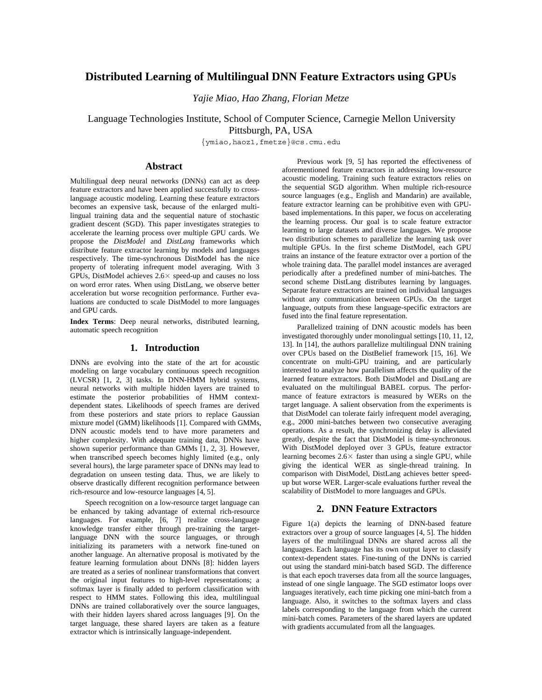# **Distributed Learning of Multilingual DNN Feature Extractors using GPUs**

*Yajie Miao, Hao Zhang, Florian Metze*

Language Technologies Institute, School of Computer Science, Carnegie Mellon University

Pittsburgh, PA, USA

{ymiao,haoz1,fmetze}@cs.cmu.edu

## **Abstract**

Multilingual deep neural networks (DNNs) can act as deep feature extractors and have been applied successfully to crosslanguage acoustic modeling. Learning these feature extractors becomes an expensive task, because of the enlarged multilingual training data and the sequential nature of stochastic gradient descent (SGD). This paper investigates strategies to accelerate the learning process over multiple GPU cards. We propose the *DistModel* and *DistLang* frameworks which distribute feature extractor learning by models and languages respectively. The time-synchronous DistModel has the nice property of tolerating infrequent model averaging. With 3 GPUs, DistModel achieves  $2.6 \times$  speed-up and causes no loss on word error rates. When using DistLang, we observe better acceleration but worse recognition performance. Further evaluations are conducted to scale DistModel to more languages and GPU cards.

**Index Terms**: Deep neural networks, distributed learning, automatic speech recognition

#### **1. Introduction**

DNNs are evolving into the state of the art for acoustic modeling on large vocabulary continuous speech recognition (LVCSR) [1, 2, 3] tasks. In DNN-HMM hybrid systems, neural networks with multiple hidden layers are trained to estimate the posterior probabilities of HMM contextdependent states. Likelihoods of speech frames are derived from these posteriors and state priors to replace Gaussian mixture model (GMM) likelihoods [1]. Compared with GMMs, DNN acoustic models tend to have more parameters and higher complexity. With adequate training data, DNNs have shown superior performance than GMMs [1, 2, 3]. However, when transcribed speech becomes highly limited (e.g., only several hours), the large parameter space of DNNs may lead to degradation on unseen testing data. Thus, we are likely to observe drastically different recognition performance between rich-resource and low-resource languages [4, 5].

Speech recognition on a low-resource target language can be enhanced by taking advantage of external rich-resource languages. For example, [6, 7] realize cross-language knowledge transfer either through pre-training the targetlanguage DNN with the source languages, or through initializing its parameters with a network fine-tuned on another language. An alternative proposal is motivated by the feature learning formulation about DNNs [8]: hidden layers are treated as a series of nonlinear transformations that convert the original input features to high-level representations; a softmax layer is finally added to perform classification with respect to HMM states. Following this idea, multilingual DNNs are trained collaboratively over the source languages, with their hidden layers shared across languages [9]. On the target language, these shared layers are taken as a feature extractor which is intrinsically language-independent.

Previous work [9, 5] has reported the effectiveness of aforementioned feature extractors in addressing low-resource acoustic modeling. Training such feature extractors relies on the sequential SGD algorithm. When multiple rich-resource source languages (e.g., English and Mandarin) are available, feature extractor learning can be prohibitive even with GPUbased implementations. In this paper, we focus on accelerating the learning process. Our goal is to scale feature extractor learning to large datasets and diverse languages. We propose two distribution schemes to parallelize the learning task over multiple GPUs. In the first scheme DistModel, each GPU trains an instance of the feature extractor over a portion of the whole training data. The parallel model instances are averaged periodically after a predefined number of mini-batches. The second scheme DistLang distributes learning by languages. Separate feature extractors are trained on individual languages without any communication between GPUs. On the target language, outputs from these language-specific extractors are fused into the final feature representation.

Parallelized training of DNN acoustic models has been investigated thoroughly under monolingual settings [10, 11, 12, 13]. In [14], the authors parallelize multilingual DNN training over CPUs based on the DistBelief framework [15, 16]. We concentrate on multi-GPU training, and are particularly interested to analyze how parallelism affects the quality of the learned feature extractors. Both DistModel and DistLang are evaluated on the multilingual BABEL corpus. The performance of feature extractors is measured by WERs on the target language. A salient observation from the experiments is that DistModel can tolerate fairly infrequent model averaging, e.g., 2000 mini-batches between two consecutive averaging operations. As a result, the synchronizing delay is alleviated greatly, despite the fact that DistModel is time-synchronous. With DistModel deployed over 3 GPUs, feature extractor learning becomes  $2.6 \times$  faster than using a single GPU, while giving the identical WER as single-thread training. In comparison with DistModel, DistLang achieves better speedup but worse WER. Larger-scale evaluations further reveal the scalability of DistModel to more languages and GPUs.

## **2. DNN Feature Extractors**

Figure 1(a) depicts the learning of DNN-based feature extractors over a group of source languages [4, 5]. The hidden layers of the multilingual DNNs are shared across all the languages. Each language has its own output layer to classify context-dependent states. Fine-tuning of the DNNs is carried out using the standard mini-batch based SGD. The difference is that each epoch traverses data from all the source languages, instead of one single language. The SGD estimator loops over languages iteratively, each time picking one mini-batch from a language. Also, it switches to the softmax layers and class labels corresponding to the language from which the current mini-batch comes. Parameters of the shared layers are updated with gradients accumulated from all the languages.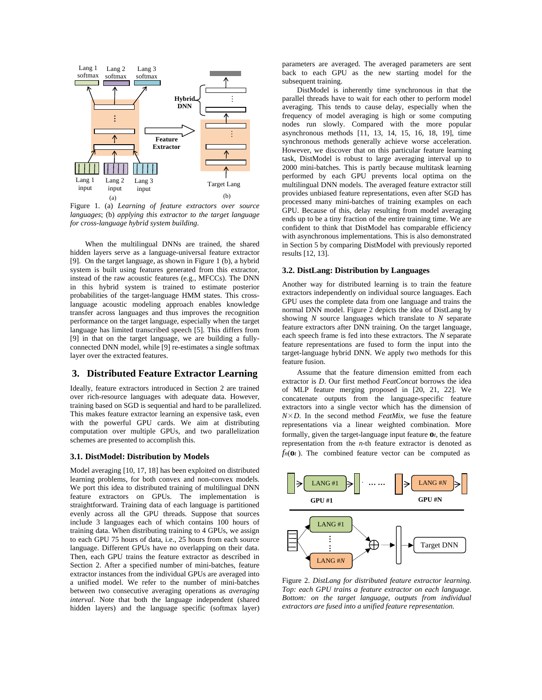

Figure 1. (a) *Learning of feature extractors over source languages*; (b) *applying this extractor to the target language for cross-language hybrid system building*.

When the multilingual DNNs are trained, the shared hidden layers serve as a language-universal feature extractor [9]. On the target language, as shown in Figure 1 (b), a hybrid system is built using features generated from this extractor, instead of the raw acoustic features (e.g., MFCCs). The DNN in this hybrid system is trained to estimate posterior probabilities of the target-language HMM states. This crosslanguage acoustic modeling approach enables knowledge transfer across languages and thus improves the recognition performance on the target language, especially when the target language has limited transcribed speech [5]. This differs from [9] in that on the target language, we are building a fullyconnected DNN model, while [9] re-estimates a single softmax layer over the extracted features.

## **3. Distributed Feature Extractor Learning**

Ideally, feature extractors introduced in Section 2 are trained over rich-resource languages with adequate data. However, training based on SGD is sequential and hard to be parallelized. This makes feature extractor learning an expensive task, even with the powerful GPU cards. We aim at distributing computation over multiple GPUs, and two parallelization schemes are presented to accomplish this.

#### **3.1. DistModel: Distribution by Models**

Model averaging [10, 17, 18] has been exploited on distributed learning problems, for both convex and non-convex models. We port this idea to distributed training of multilingual DNN feature extractors on GPUs. The implementation is straightforward. Training data of each language is partitioned evenly across all the GPU threads. Suppose that sources include 3 languages each of which contains 100 hours of training data. When distributing training to 4 GPUs, we assign to each GPU 75 hours of data, i.e., 25 hours from each source language. Different GPUs have no overlapping on their data. Then, each GPU trains the feature extractor as described in Section 2. After a specified number of mini-batches, feature extractor instances from the individual GPUs are averaged into a unified model. We refer to the number of mini-batches between two consecutive averaging operations as *averaging interval*. Note that both the language independent (shared hidden layers) and the language specific (softmax layer) parameters are averaged. The averaged parameters are sent back to each GPU as the new starting model for the subsequent training.

DistModel is inherently time synchronous in that the parallel threads have to wait for each other to perform model averaging. This tends to cause delay, especially when the frequency of model averaging is high or some computing nodes run slowly. Compared with the more popular asynchronous methods [11, 13, 14, 15, 16, 18, 19], time synchronous methods generally achieve worse acceleration. However, we discover that on this particular feature learning task, DistModel is robust to large averaging interval up to 2000 mini-batches. This is partly because multitask learning performed by each GPU prevents local optima on the multilingual DNN models. The averaged feature extractor still provides unbiased feature representations, even after SGD has processed many mini-batches of training examples on each GPU. Because of this, delay resulting from model averaging ends up to be a tiny fraction of the entire training time. We are confident to think that DistModel has comparable efficiency with asynchronous implementations. This is also demonstrated in Section 5 by comparing DistModel with previously reported results [12, 13].

#### **3.2. DistLang: Distribution by Languages**

Another way for distributed learning is to train the feature extractors independently on individual source languages. Each GPU uses the complete data from one language and trains the normal DNN model. Figure 2 depicts the idea of DistLang by showing *N* source languages which translate to *N* separate feature extractors after DNN training. On the target language, each speech frame is fed into these extractors. The *N* separate feature representations are fused to form the input into the target-language hybrid DNN. We apply two methods for this feature fusion.

Assume that the feature dimension emitted from each extractor is *D*. Our first method *FeatConcat* borrows the idea of MLP feature merging proposed in [20, 21, 22]. We concatenate outputs from the language-specific feature extractors into a single vector which has the dimension of  $N \times D$ . In the second method *FeatMix*, we fuse the feature representations via a linear weighted combination. More formally, given the target-language input feature **o***t*, the feature representation from the *n*-th feature extractor is denoted as  $f_n(\mathbf{0}t)$ . The combined feature vector can be computed as



Figure 2. *DistLang for distributed feature extractor learning. Top: each GPU trains a feature extractor on each language. Bottom: on the target language, outputs from individual extractors are fused into a unified feature representation.*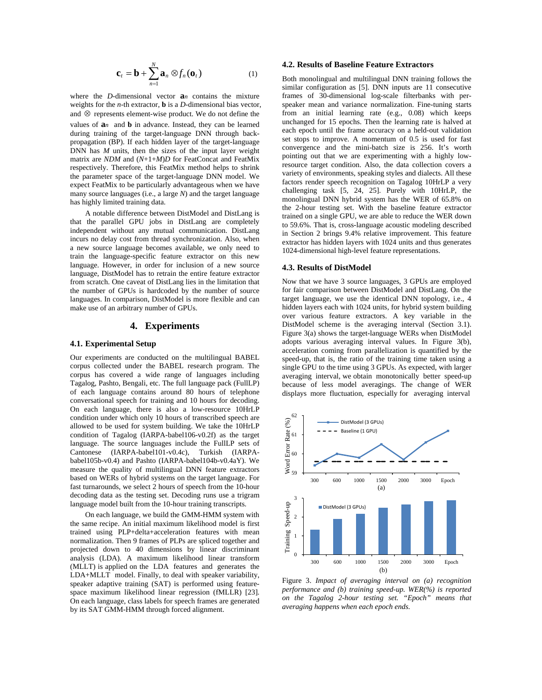$$
\mathbf{c}_t = \mathbf{b} + \sum_{n=1}^{N} \mathbf{a}_n \otimes f_n(\mathbf{o}_t)
$$
 (1)

where the *D*-dimensional vector **a***n* contains the mixture weights for the *n*-th extractor, **b** is a *D*-dimensional bias vector, and ⊗ represents element-wise product. We do not define the values of **a***n* and **b** in advance. Instead, they can be learned during training of the target-language DNN through backpropagation (BP). If each hidden layer of the target-language DNN has *M* units, then the sizes of the input layer weight matrix are *NDM* and (*N*+1+*M*)*D* for FeatConcat and FeatMix respectively. Therefore, this FeatMix method helps to shrink the parameter space of the target-language DNN model. We expect FeatMix to be particularly advantageous when we have many source languages (i.e., a large *N*) and the target language has highly limited training data.

A notable difference between DistModel and DistLang is that the parallel GPU jobs in DistLang are completely independent without any mutual communication. DistLang incurs no delay cost from thread synchronization. Also, when a new source language becomes available, we only need to train the language-specific feature extractor on this new language. However, in order for inclusion of a new source language, DistModel has to retrain the entire feature extractor from scratch. One caveat of DistLang lies in the limitation that the number of GPUs is hardcoded by the number of source languages. In comparison, DistModel is more flexible and can make use of an arbitrary number of GPUs.

## **4. Experiments**

### **4.1. Experimental Setup**

Our experiments are conducted on the multilingual BABEL corpus collected under the BABEL research program. The corpus has covered a wide range of languages including Tagalog, Pashto, Bengali, etc. The full language pack (FullLP) of each language contains around 80 hours of telephone conversational speech for training and 10 hours for decoding. On each language, there is also a low-resource 10HrLP condition under which only 10 hours of transcribed speech are allowed to be used for system building. We take the 10HrLP condition of Tagalog (IARPA-babel106-v0.2f) as the target language. The source languages include the FullLP sets of Cantonese (IARPA-babel101-v0.4c), Turkish (IARPAbabel105b-v0.4) and Pashto (IARPA-babel104b-v0.4aY). We measure the quality of multilingual DNN feature extractors based on WERs of hybrid systems on the target language. For fast turnarounds, we select 2 hours of speech from the 10-hour decoding data as the testing set. Decoding runs use a trigram language model built from the 10-hour training transcripts.

On each language, we build the GMM-HMM system with the same recipe. An initial maximum likelihood model is first trained using PLP+delta+acceleration features with mean normalization. Then 9 frames of PLPs are spliced together and projected down to 40 dimensions by linear discriminant analysis (LDA). A maximum likelihood linear transform (MLLT) is applied on the LDA features and generates the LDA+MLLT model. Finally, to deal with speaker variability, speaker adaptive training (SAT) is performed using featurespace maximum likelihood linear regression (fMLLR) [23]. On each language, class labels for speech frames are generated by its SAT GMM-HMM through forced alignment.

#### **4.2. Results of Baseline Feature Extractors**

Both monolingual and multilingual DNN training follows the similar configuration as [5]. DNN inputs are 11 consecutive frames of 30-dimensional log-scale filterbanks with perspeaker mean and variance normalization. Fine-tuning starts from an initial learning rate (e.g., 0.08) which keeps unchanged for 15 epochs. Then the learning rate is halved at each epoch until the frame accuracy on a held-out validation set stops to improve. A momentum of 0.5 is used for fast convergence and the mini-batch size is 256. It's worth pointing out that we are experimenting with a highly lowresource target condition. Also, the data collection covers a variety of environments, speaking styles and dialects. All these factors render speech recognition on Tagalog 10HrLP a very challenging task [5, 24, 25]. Purely with 10HrLP, the monolingual DNN hybrid system has the WER of 65.8% on the 2-hour testing set. With the baseline feature extractor trained on a single GPU, we are able to reduce the WER down to 59.6%. That is, cross-language acoustic modeling described in Section 2 brings 9.4% relative improvement. This feature extractor has hidden layers with 1024 units and thus generates 1024-dimensional high-level feature representations.

#### **4.3. Results of DistModel**

Now that we have 3 source languages, 3 GPUs are employed for fair comparison between DistModel and DistLang. On the target language, we use the identical DNN topology, i.e., 4 hidden layers each with 1024 units, for hybrid system building over various feature extractors. A key variable in the DistModel scheme is the averaging interval (Section 3.1). Figure 3(a) shows the target-language WERs when DistModel adopts various averaging interval values. In Figure 3(b), acceleration coming from parallelization is quantified by the speed-up, that is, the ratio of the training time taken using a single GPU to the time using 3 GPUs. As expected, with larger averaging interval, we obtain monotonically better speed-up because of less model averagings. The change of WER displays more fluctuation, especially for averaging interval



Figure 3. *Impact of averaging interval on (a) recognition performance and (b) training speed-up. WER(%) is reported on the Tagalog 2-hour testing set. "Epoch" means that averaging happens when each epoch ends.*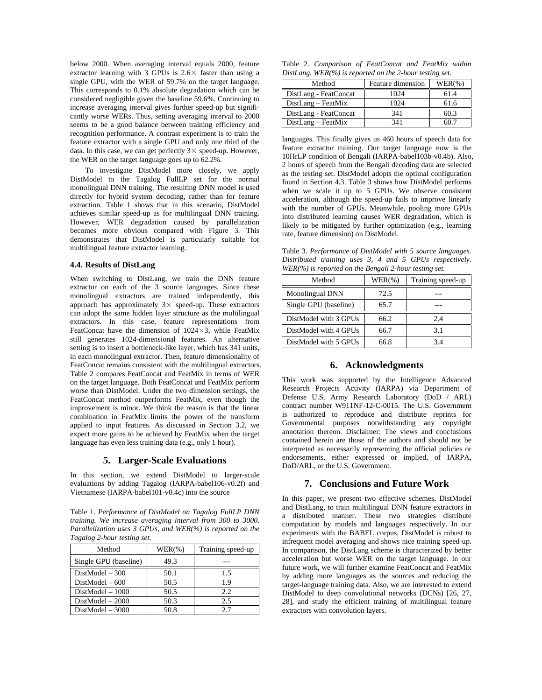below 2000. When averaging interval equals 2000, feature extractor learning with 3 GPUs is  $2.6 \times$  faster than using a single GPU, with the WER of 59.7% on the target language. This corresponds to 0.1% absolute degradation which can be considered negligible given the baseline 59.6%. Continuing to increase averaging interval gives further speed-up but significantly worse WERs. Thus, setting averaging interval to 2000 seems to be a good balance between training efficiency and recognition performance. A contrast experiment is to train the feature extractor with a single GPU and only one third of the data. In this case, we can get perfectly  $3 \times$  speed-up. However, the WER on the target language goes up to 62.2%.

To investigate DistModel more closely, we apply DistModel to the Tagalog FullLP set for the normal monolingual DNN training. The resulting DNN model is used directly for hybrid system decoding, rather than for feature extraction. Table 1 shows that in this scenario, DistModel achieves similar speed-up as for multilingual DNN training. However, WER degradation caused by parallelization becomes more obvious compared with Figure 3. This demonstrates that DistModel is particularly suitable for multilingual feature extractor learning.

#### **4.4. Results of DistLang**

When switching to DistLang, we train the DNN feature extractor on each of the 3 source languages. Since these monolingual extractors are trained independently, this approach has approximately  $3 \times$  speed-up. These extractors can adopt the same hidden layer structure as the multilingual extractors. In this case, feature representations from FeatConcat have the dimension of  $1024 \times 3$ , while FeatMix still generates 1024-dimensional features. An alternative setting is to insert a bottleneck-like layer, which has 341 units, in each monolingual extractor. Then, feature dimensionality of FeatConcat remains consistent with the multilingual extractors. Table 2 compares FeatConcat and FeatMix in terms of WER on the target language. Both FeatConcat and FeatMix perform worse than DistModel. Under the two dimension settings, the FeatConcat method outperforms FeatMix, even though the improvement is minor. We think the reason is that the linear combination in FeatMix limits the power of the transform applied to input features. As discussed in Section 3.2, we expect more gains to be achieved by FeatMix when the target language has even less training data (e.g., only 1 hour).

### **5. Larger-Scale Evaluations**

In this section, we extend DistModel to larger-scale evaluations by adding Tagalog (IARPA-babel106-v0.2f) and Vietnamese (IARPA-babel101-v0.4c) into the source

Table 1. *Performance of DistModel on Tagalog FullLP DNN training. We increase averaging interval from 300 to 3000. Parallelization uses 3 GPUs, and WER(%) is reported on the Tagalog 2-hour testing set.* 

| Method                | $WER(\% )$ | Training speed-up |
|-----------------------|------------|-------------------|
| Single GPU (baseline) | 49.3       |                   |
| $DistModel - 300$     | 50.1       | 1.5               |
| $DistModel - 600$     | 50.5       | 19                |
| DistModel - 1000      | 50.5       | 2.2.              |
| $DistModel - 2000$    | 50.3       | 2.5               |
| $DistModel - 3000$    | 50.8       | 27                |

Table 2. *Comparison of FeatConcat and FeatMix within DistLang. WER(%) is reported on the 2-hour testing set.*

| Method                | Feature dimension | $WER(\%)$ |
|-----------------------|-------------------|-----------|
| DistLang - FeatConcat | 1024              | 61.4      |
| $DistLang - FeatMix$  | 1024              | 61.6      |
| DistLang - FeatConcat | 341               | 60.3      |
| $DistLang - FeatMix$  | 341               | 50 7      |

languages. This finally gives us 460 hours of speech data for feature extractor training. Our target language now is the 10HrLP condition of Bengali (IARPA-babel103b-v0.4b). Also, 2 hours of speech from the Bengali decoding data are selected as the testing set. DistModel adopts the optimal configuration found in Section 4.3. Table 3 shows how DistModel performs when we scale it up to 5 GPUs. We observe consistent acceleration, although the speed-up fails to improve linearly with the number of GPUs. Meanwhile, pooling more GPUs into distributed learning causes WER degradation, which is likely to be mitigated by further optimization (e.g., learning rate, feature dimension) on DistModel.

Table 3. *Performance of DistModel with 5 source languages. Distributed training uses 3, 4 and 5 GPUs respectively. WER(%) is reported on the Bengali 2-hour testing set.* 

| Method                | $WER(\% )$ | Training speed-up |
|-----------------------|------------|-------------------|
| Monolingual DNN       | 72.5       |                   |
| Single GPU (baseline) | 65.7       |                   |
| DistModel with 3 GPUs | 66.2       | 2.4               |
| DistModel with 4 GPUs | 66.7       | 3.1               |
| DistModel with 5 GPUs | 66.8       | 3.4               |

## **6. Acknowledgments**

This work was supported by the Intelligence Advanced Research Projects Activity (IARPA) via Department of Defense U.S. Army Research Laboratory (DoD / ARL) contract number W911NF-12-C-0015. The U.S. Government is authorized to reproduce and distribute reprints for Governmental purposes notwithstanding any copyright annotation thereon. Disclaimer: The views and conclusions contained herein are those of the authors and should not be interpreted as necessarily representing the official policies or endorsements, either expressed or implied, of IARPA, DoD/ARL, or the U.S. Government.

#### **7. Conclusions and Future Work**

In this paper, we present two effective schemes, DistModel and DistLang, to train multilingual DNN feature extractors in a distributed manner. These two strategies distribute computation by models and languages respectively. In our experiments with the BABEL corpus, DistModel is robust to infrequent model averaging and shows nice training speed-up. In comparison, the DistLang scheme is characterized by better acceleration but worse WER on the target language. In our future work, we will further examine FeatConcat and FeatMix by adding more languages as the sources and reducing the target-language training data. Also, we are interested to extend DistModel to deep convolutional networks (DCNs) [26, 27, 28], and study the efficient training of multilingual feature extractors with convolution layers.